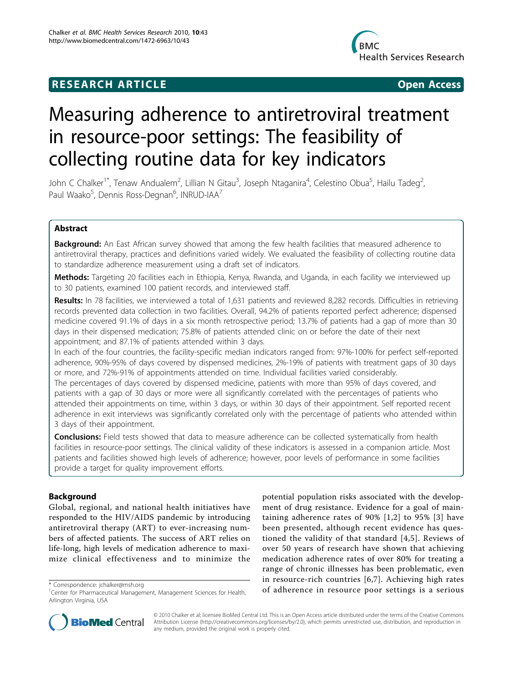## **RESEARCH ARTICLE Example 2018 12:00 Open Access**



# Measuring adherence to antiretroviral treatment in resource-poor settings: The feasibility of collecting routine data for key indicators

John C Chalker<sup>1\*</sup>, Tenaw Andualem<sup>2</sup>, Lillian N Gitau<sup>3</sup>, Joseph Ntaganira<sup>4</sup>, Celestino Obua<sup>5</sup>, Hailu Tadeg<sup>2</sup> , Paul Waako<sup>5</sup>, Dennis Ross-Degnan<sup>6</sup>, INRUD-IAA<sup>7</sup>

## Abstract

**Background:** An East African survey showed that among the few health facilities that measured adherence to antiretroviral therapy, practices and definitions varied widely. We evaluated the feasibility of collecting routine data to standardize adherence measurement using a draft set of indicators.

Methods: Targeting 20 facilities each in Ethiopia, Kenya, Rwanda, and Uganda, in each facility we interviewed up to 30 patients, examined 100 patient records, and interviewed staff.

Results: In 78 facilities, we interviewed a total of 1,631 patients and reviewed 8,282 records. Difficulties in retrieving records prevented data collection in two facilities. Overall, 94.2% of patients reported perfect adherence; dispensed medicine covered 91.1% of days in a six month retrospective period; 13.7% of patients had a gap of more than 30 days in their dispensed medication; 75.8% of patients attended clinic on or before the date of their next appointment; and 87.1% of patients attended within 3 days.

In each of the four countries, the facility-specific median indicators ranged from: 97%-100% for perfect self-reported adherence, 90%-95% of days covered by dispensed medicines, 2%-19% of patients with treatment gaps of 30 days or more, and 72%-91% of appointments attended on time. Individual facilities varied considerably.

The percentages of days covered by dispensed medicine, patients with more than 95% of days covered, and patients with a gap of 30 days or more were all significantly correlated with the percentages of patients who attended their appointments on time, within 3 days, or within 30 days of their appointment. Self reported recent adherence in exit interviews was significantly correlated only with the percentage of patients who attended within 3 days of their appointment.

**Conclusions:** Field tests showed that data to measure adherence can be collected systematically from health facilities in resource-poor settings. The clinical validity of these indicators is assessed in a companion article. Most patients and facilities showed high levels of adherence; however, poor levels of performance in some facilities provide a target for quality improvement efforts.

## Background

Global, regional, and national health initiatives have responded to the HIV/AIDS pandemic by introducing antiretroviral therapy (ART) to ever-increasing numbers of affected patients. The success of ART relies on life-long, high levels of medication adherence to maximize clinical effectiveness and to minimize the

potential population risks associated with the development of drug resistance. Evidence for a goal of maintaining adherence rates of 90% [[1](#page-10-0),[2\]](#page-10-0) to 95% [[3\]](#page-10-0) have been presented, although recent evidence has questioned the validity of that standard [[4](#page-10-0),[5\]](#page-10-0). Reviews of over 50 years of research have shown that achieving medication adherence rates of over 80% for treating a range of chronic illnesses has been problematic, even in resource-rich countries [[6](#page-10-0),[7\]](#page-10-0). Achieving high rates \* Correspondence: [jchalker@msh.org](mailto:jchalker@msh.org)<br><sup>1</sup>Center for Pharmaceutical Management Management Sciences for Health **of adherence in resource poor settings is a serious** 



© 2010 Chalker et al; licensee BioMed Central Ltd. This is an Open Access article distributed under the terms of the Creative Commons Attribution License [\(http://creativecommons.org/licenses/by/2.0](http://creativecommons.org/licenses/by/2.0)), which permits unrestricted use, distribution, and reproduction in any medium, provided the original work is properly cited.

<sup>&</sup>lt;sup>1</sup>Center for Pharmaceutical Management, Management Sciences for Health, Arlington Virginia, USA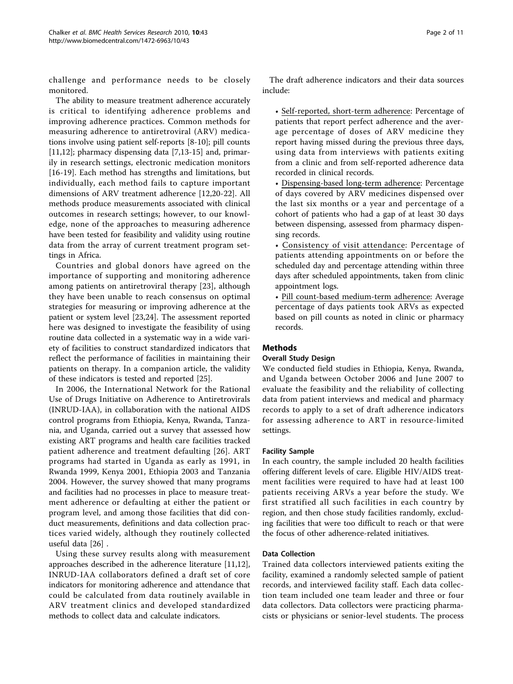challenge and performance needs to be closely monitored.

The ability to measure treatment adherence accurately is critical to identifying adherence problems and improving adherence practices. Common methods for measuring adherence to antiretroviral (ARV) medications involve using patient self-reports [[8-10\]](#page-10-0); pill counts  $[11,12]$  $[11,12]$ ; pharmacy dispensing data  $[7,13-15]$  $[7,13-15]$  $[7,13-15]$  $[7,13-15]$  $[7,13-15]$  $[7,13-15]$  and, primarily in research settings, electronic medication monitors [[16-19](#page-10-0)]. Each method has strengths and limitations, but individually, each method fails to capture important dimensions of ARV treatment adherence [[12,20](#page-10-0)-[22\]](#page-10-0). All methods produce measurements associated with clinical outcomes in research settings; however, to our knowledge, none of the approaches to measuring adherence have been tested for feasibility and validity using routine data from the array of current treatment program settings in Africa.

Countries and global donors have agreed on the importance of supporting and monitoring adherence among patients on antiretroviral therapy [[23](#page-10-0)], although they have been unable to reach consensus on optimal strategies for measuring or improving adherence at the patient or system level [[23,24\]](#page-10-0). The assessment reported here was designed to investigate the feasibility of using routine data collected in a systematic way in a wide variety of facilities to construct standardized indicators that reflect the performance of facilities in maintaining their patients on therapy. In a companion article, the validity of these indicators is tested and reported [\[25](#page-10-0)].

In 2006, the International Network for the Rational Use of Drugs Initiative on Adherence to Antiretrovirals (INRUD-IAA), in collaboration with the national AIDS control programs from Ethiopia, Kenya, Rwanda, Tanzania, and Uganda, carried out a survey that assessed how existing ART programs and health care facilities tracked patient adherence and treatment defaulting [[26](#page-10-0)]. ART programs had started in Uganda as early as 1991, in Rwanda 1999, Kenya 2001, Ethiopia 2003 and Tanzania 2004. However, the survey showed that many programs and facilities had no processes in place to measure treatment adherence or defaulting at either the patient or program level, and among those facilities that did conduct measurements, definitions and data collection practices varied widely, although they routinely collected useful data [[26](#page-10-0)] .

Using these survey results along with measurement approaches described in the adherence literature [[11,12](#page-10-0)], INRUD-IAA collaborators defined a draft set of core indicators for monitoring adherence and attendance that could be calculated from data routinely available in ARV treatment clinics and developed standardized methods to collect data and calculate indicators.

The draft adherence indicators and their data sources include:

• Self-reported, short-term adherence: Percentage of patients that report perfect adherence and the average percentage of doses of ARV medicine they report having missed during the previous three days, using data from interviews with patients exiting from a clinic and from self-reported adherence data recorded in clinical records.

• Dispensing-based long-term adherence: Percentage of days covered by ARV medicines dispensed over the last six months or a year and percentage of a cohort of patients who had a gap of at least 30 days between dispensing, assessed from pharmacy dispensing records.

• Consistency of visit attendance: Percentage of patients attending appointments on or before the scheduled day and percentage attending within three days after scheduled appointments, taken from clinic appointment logs.

• Pill count-based medium-term adherence: Average percentage of days patients took ARVs as expected based on pill counts as noted in clinic or pharmacy records.

## Methods

## Overall Study Design

We conducted field studies in Ethiopia, Kenya, Rwanda, and Uganda between October 2006 and June 2007 to evaluate the feasibility and the reliability of collecting data from patient interviews and medical and pharmacy records to apply to a set of draft adherence indicators for assessing adherence to ART in resource-limited settings.

#### Facility Sample

In each country, the sample included 20 health facilities offering different levels of care. Eligible HIV/AIDS treatment facilities were required to have had at least 100 patients receiving ARVs a year before the study. We first stratified all such facilities in each country by region, and then chose study facilities randomly, excluding facilities that were too difficult to reach or that were the focus of other adherence-related initiatives.

#### Data Collection

Trained data collectors interviewed patients exiting the facility, examined a randomly selected sample of patient records, and interviewed facility staff. Each data collection team included one team leader and three or four data collectors. Data collectors were practicing pharmacists or physicians or senior-level students. The process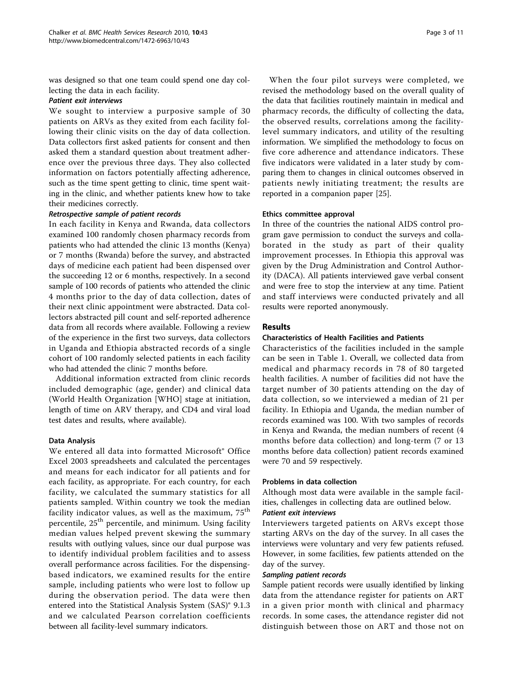was designed so that one team could spend one day collecting the data in each facility.

## Patient exit interviews

We sought to interview a purposive sample of 30 patients on ARVs as they exited from each facility following their clinic visits on the day of data collection. Data collectors first asked patients for consent and then asked them a standard question about treatment adherence over the previous three days. They also collected information on factors potentially affecting adherence, such as the time spent getting to clinic, time spent waiting in the clinic, and whether patients knew how to take their medicines correctly.

#### Retrospective sample of patient records

In each facility in Kenya and Rwanda, data collectors examined 100 randomly chosen pharmacy records from patients who had attended the clinic 13 months (Kenya) or 7 months (Rwanda) before the survey, and abstracted days of medicine each patient had been dispensed over the succeeding 12 or 6 months, respectively. In a second sample of 100 records of patients who attended the clinic 4 months prior to the day of data collection, dates of their next clinic appointment were abstracted. Data collectors abstracted pill count and self-reported adherence data from all records where available. Following a review of the experience in the first two surveys, data collectors in Uganda and Ethiopia abstracted records of a single cohort of 100 randomly selected patients in each facility who had attended the clinic 7 months before.

Additional information extracted from clinic records included demographic (age, gender) and clinical data (World Health Organization [WHO] stage at initiation, length of time on ARV therapy, and CD4 and viral load test dates and results, where available).

#### Data Analysis

We entered all data into formatted Microsoft® Office Excel 2003 spreadsheets and calculated the percentages and means for each indicator for all patients and for each facility, as appropriate. For each country, for each facility, we calculated the summary statistics for all patients sampled. Within country we took the median facility indicator values, as well as the maximum,  $75<sup>th</sup>$ percentile,  $25<sup>th</sup>$  percentile, and minimum. Using facility median values helped prevent skewing the summary results with outlying values, since our dual purpose was to identify individual problem facilities and to assess overall performance across facilities. For the dispensingbased indicators, we examined results for the entire sample, including patients who were lost to follow up during the observation period. The data were then entered into the Statistical Analysis System (SAS)<sup>®</sup> 9.1.3 and we calculated Pearson correlation coefficients between all facility-level summary indicators.

When the four pilot surveys were completed, we revised the methodology based on the overall quality of the data that facilities routinely maintain in medical and pharmacy records, the difficulty of collecting the data, the observed results, correlations among the facilitylevel summary indicators, and utility of the resulting information. We simplified the methodology to focus on five core adherence and attendance indicators. These five indicators were validated in a later study by comparing them to changes in clinical outcomes observed in patients newly initiating treatment; the results are reported in a companion paper [\[25](#page-10-0)].

#### Ethics committee approval

In three of the countries the national AIDS control program gave permission to conduct the surveys and collaborated in the study as part of their quality improvement processes. In Ethiopia this approval was given by the Drug Administration and Control Authority (DACA). All patients interviewed gave verbal consent and were free to stop the interview at any time. Patient and staff interviews were conducted privately and all results were reported anonymously.

## Results

#### Characteristics of Health Facilities and Patients

Characteristics of the facilities included in the sample can be seen in Table [1.](#page-3-0) Overall, we collected data from medical and pharmacy records in 78 of 80 targeted health facilities. A number of facilities did not have the target number of 30 patients attending on the day of data collection, so we interviewed a median of 21 per facility. In Ethiopia and Uganda, the median number of records examined was 100. With two samples of records in Kenya and Rwanda, the median numbers of recent (4 months before data collection) and long-term (7 or 13 months before data collection) patient records examined were 70 and 59 respectively.

## Problems in data collection

Although most data were available in the sample facilities, challenges in collecting data are outlined below.

## Patient exit interviews

Interviewers targeted patients on ARVs except those starting ARVs on the day of the survey. In all cases the interviews were voluntary and very few patients refused. However, in some facilities, few patients attended on the day of the survey.

#### Sampling patient records

Sample patient records were usually identified by linking data from the attendance register for patients on ART in a given prior month with clinical and pharmacy records. In some cases, the attendance register did not distinguish between those on ART and those not on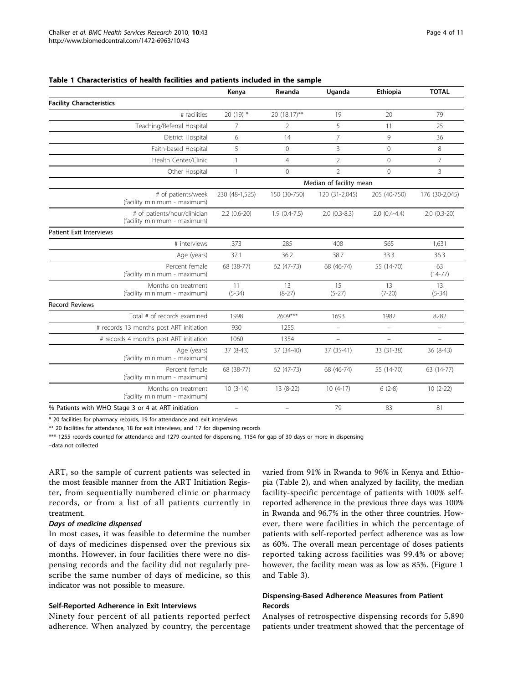|                                                              | Kenya          | Rwanda         | Uganda                  | Ethiopia       | <b>TOTAL</b>             |
|--------------------------------------------------------------|----------------|----------------|-------------------------|----------------|--------------------------|
| <b>Facility Characteristics</b>                              |                |                |                         |                |                          |
| # facilities                                                 | 20 $(19)$ *    | 20 (18,17)**   | 19                      | 20             | 79                       |
| Teaching/Referral Hospital                                   | 7              | 2              | 5                       | 11             | 25                       |
| District Hospital                                            | 6              | 14             | $\overline{7}$          | $\mathsf{Q}$   | 36                       |
| Faith-based Hospital                                         | 5              | $\circ$        | 3                       | $\mathbf{0}$   | 8                        |
| Health Center/Clinic                                         | $\mathbf{1}$   | $\overline{4}$ | $\overline{2}$          | $\Omega$       | $\overline{7}$           |
| Other Hospital                                               | $\mathbf{1}$   | $\mathbf{0}$   | $\overline{2}$          | $\Omega$       | 3                        |
|                                                              |                |                | Median of facility mean |                |                          |
| # of patients/week<br>(facility minimum - maximum)           | 230 (48-1,525) | 150 (30-750)   | 120 (31-2,045)          | 205 (40-750)   | 176 (30-2,045)           |
| # of patients/hour/clinician<br>(facility minimum - maximum) | $2.2$ (0.6-20) | $1.9(0.4-7.5)$ | $2.0(0.3-8.3)$          | $2.0(0.4-4.4)$ | $2.0(0.3-20)$            |
| <b>Patient Exit Interviews</b>                               |                |                |                         |                |                          |
| # interviews                                                 | 373            | 285            | 408                     | 565            | 1,631                    |
| Age (years)                                                  | 37.1           | 36.2           | 38.7                    | 33.3           | 36.3                     |
| Percent female<br>(facility minimum - maximum)               | 68 (38-77)     | 62 (47-73)     | 68 (46-74)              | 55 (14-70)     | 63<br>$(14-77)$          |
| Months on treatment<br>(facility minimum - maximum)          | 11<br>$(5-34)$ | 13<br>$(8-27)$ | 15<br>$(5-27)$          | 13<br>$(7-20)$ | 13<br>$(5-34)$           |
| <b>Record Reviews</b>                                        |                |                |                         |                |                          |
| Total # of records examined                                  | 1998           | $2609***$      | 1693                    | 1982           | 8282                     |
| # records 13 months post ART initiation                      | 930            | 1255           |                         | $\equiv$       | $\overline{\phantom{0}}$ |
| # records 4 months post ART initiation                       | 1060           | 1354           |                         | ÷.             | ÷,                       |
| Age (years)<br>(facility minimum - maximum)                  | 37 (8-43)      | 37 (34-40)     | 37 (35-41)              | 33 (31-38)     | 36 (8-43)                |
| Percent female<br>(facility minimum - maximum)               | 68 (38-77)     | 62 (47-73)     | 68 (46-74)              | 55 (14-70)     | 63 (14-77)               |
| Months on treatment<br>(facility minimum - maximum)          | $10(3-14)$     | 13 (8-22)      | $10(4-17)$              | $6(2-8)$       | $10(2-22)$               |
| % Patients with WHO Stage 3 or 4 at ART initiation           |                |                | 79                      | 83             | 81                       |

#### <span id="page-3-0"></span>Table 1 Characteristics of health facilities and patients included in the sample

\* 20 facilities for pharmacy records, 19 for attendance and exit interviews

\*\* 20 facilities for attendance, 18 for exit interviews, and 17 for dispensing records

\*\*\* 1255 records counted for attendance and 1279 counted for dispensing, 1154 for gap of 30 days or more in dispensing

–data not collected

ART, so the sample of current patients was selected in the most feasible manner from the ART Initiation Register, from sequentially numbered clinic or pharmacy records, or from a list of all patients currently in treatment.

## Days of medicine dispensed

In most cases, it was feasible to determine the number of days of medicines dispensed over the previous six months. However, in four facilities there were no dispensing records and the facility did not regularly prescribe the same number of days of medicine, so this indicator was not possible to measure.

#### Self-Reported Adherence in Exit Interviews

Ninety four percent of all patients reported perfect adherence. When analyzed by country, the percentage varied from 91% in Rwanda to 96% in Kenya and Ethiopia (Table [2\)](#page-4-0), and when analyzed by facility, the median facility-specific percentage of patients with 100% selfreported adherence in the previous three days was 100% in Rwanda and 96.7% in the other three countries. However, there were facilities in which the percentage of patients with self-reported perfect adherence was as low as 60%. The overall mean percentage of doses patients reported taking across facilities was 99.4% or above; however, the facility mean was as low as 85%. (Figure [1](#page-4-0) and Table [3\)](#page-5-0).

## Dispensing-Based Adherence Measures from Patient Records

Analyses of retrospective dispensing records for 5,890 patients under treatment showed that the percentage of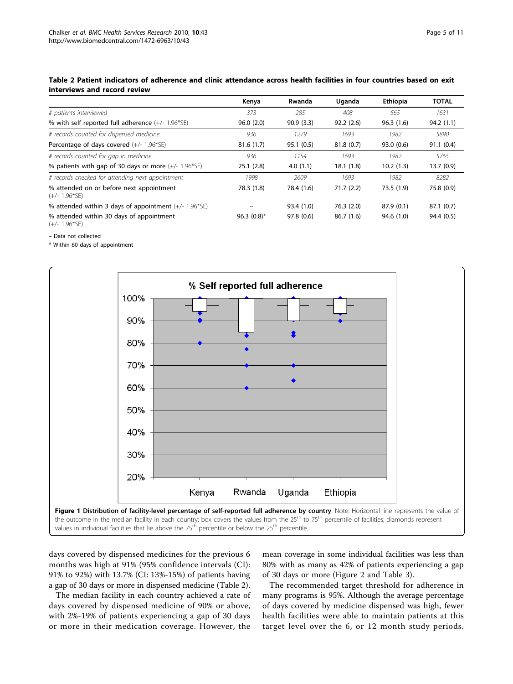|                                                             | Kenya          | Rwanda     | Uganda    | <b>Ethiopia</b> | <b>TOTAL</b> |
|-------------------------------------------------------------|----------------|------------|-----------|-----------------|--------------|
| # patients interviewed                                      | 373            | 285        | 408       | 565             | 1631         |
| % with self reported full adherence $(+/- 1.96*SE)$         | 96.0(2.0)      | 90.9(3.3)  | 92.2(2.6) | 96.3(1.6)       | 94.2(1.1)    |
| # records counted for dispensed medicine                    | 936            | 1279       | 1693      | 1982            | 5890         |
| Percentage of days covered (+/- 1.96*SE)                    | 81.6(1.7)      | 95.1(0.5)  | 81.8(0.7) | 93.0(0.6)       | 91.1(0.4)    |
| # records counted for gap in medicine                       | 936            | 1154       | 1693      | 1982            | 5765         |
| % patients with gap of 30 days or more $(+/- 1.96*SE)$      | 25.1(2.8)      | 4.0(1.1)   | 18.1(1.8) | 10.2(1.3)       | 13.7(0.9)    |
| # records checked for attending next appointment            | 1998           | 2609       | 1693      | 1982            | 8282         |
| % attended on or before next appointment<br>$(+/- 1.96*SE)$ | 78.3 (1.8)     | 78.4 (1.6) | 71.7(2.2) | 73.5 (1.9)      | 75.8 (0.9)   |
| % attended within 3 days of appointment (+/- 1.96*SE)       |                | 93.4 (1.0) | 76.3(2.0) | 87.9(0.1)       | 87.1(0.7)    |
| % attended within 30 days of appointment<br>$(+/- 1.96*SE)$ | 96.3 $(0.8)$ * | 97.8 (0.6) | 86.7(1.6) | 94.6 (1.0)      | 94.4 (0.5)   |

## <span id="page-4-0"></span>Table 2 Patient indicators of adherence and clinic attendance across health facilities in four countries based on exit interviews and record review

– Data not collected

\* Within 60 days of appointment



days covered by dispensed medicines for the previous 6 months was high at 91% (95% confidence intervals (CI): 91% to 92%) with 13.7% (CI: 13%-15%) of patients having a gap of 30 days or more in dispensed medicine (Table 2).

The median facility in each country achieved a rate of days covered by dispensed medicine of 90% or above, with 2%-19% of patients experiencing a gap of 30 days or more in their medication coverage. However, the

mean coverage in some individual facilities was less than 80% with as many as 42% of patients experiencing a gap of 30 days or more (Figure [2](#page-5-0) and Table [3\)](#page-5-0).

The recommended target threshold for adherence in many programs is 95%. Although the average percentage of days covered by medicine dispensed was high, fewer health facilities were able to maintain patients at this target level over the 6, or 12 month study periods.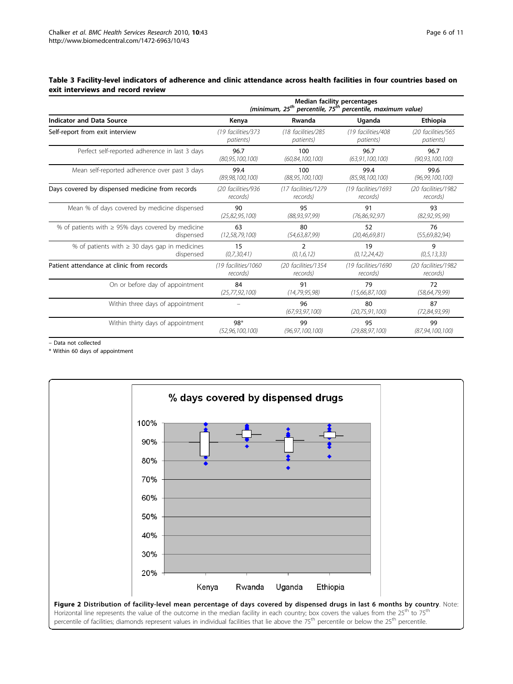|                                                        | <b>Median facility percentages</b><br>(minimum, 25 <sup>th</sup> percentile, 75 <sup>th</sup> percentile, maximum value) |                         |                         |                        |  |  |  |
|--------------------------------------------------------|--------------------------------------------------------------------------------------------------------------------------|-------------------------|-------------------------|------------------------|--|--|--|
| <b>Indicator and Data Source</b>                       | Kenya                                                                                                                    | Rwanda                  | Uganda                  | Ethiopia               |  |  |  |
| Self-report from exit interview                        | (19 facilities/373                                                                                                       | (18 facilities/285)     | (19 facilities/408      | (20 facilities/565     |  |  |  |
|                                                        | <i>patients</i> )                                                                                                        | <i>patients</i> )       | patients)               | patients)              |  |  |  |
| Perfect self-reported adherence in last 3 days         | 96.7                                                                                                                     | 100                     | 96.7                    | 96.7                   |  |  |  |
|                                                        | (80, 95, 100, 100)                                                                                                       | (60, 84, 100, 100)      | (63, 91, 100, 100)      | (90, 93, 100, 100)     |  |  |  |
| Mean self-reported adherence over past 3 days          | 99.4                                                                                                                     | 100                     | 99.4                    | 99.6                   |  |  |  |
|                                                        | (89.98.100.100)                                                                                                          | (88.95.100.100)         | (85.98.100.100)         | (96, 99, 100, 100)     |  |  |  |
| Days covered by dispensed medicine from records        | (20 facilities/936                                                                                                       | (17 facilities/1279     | (19 facilities/1693     | (20 facilities/1982    |  |  |  |
|                                                        | records)                                                                                                                 | records)                | records)                | records)               |  |  |  |
| Mean % of days covered by medicine dispensed           | 90                                                                                                                       | 95                      | 91                      | 93                     |  |  |  |
|                                                        | (25, 82, 95, 100)                                                                                                        | (88, 93, 97, 99)        | (76, 86, 92, 97)        | (82, 92, 95, 99)       |  |  |  |
| % of patients with $\geq$ 95% days covered by medicine | 63                                                                                                                       | 80                      | 52                      | 76                     |  |  |  |
| dispensed                                              | (12, 58, 79, 100)                                                                                                        | (54, 63, 87, 99)        | (20, 46, 69, 81)        | (55,69,82,94)          |  |  |  |
| % of patients with $\geq$ 30 days gap in medicines     | 15                                                                                                                       | 2                       | 19                      | 9                      |  |  |  |
| dispensed                                              | (0,7,30,41)                                                                                                              | (0, 1, 6, 12)           | (0, 12, 24, 42)         | (0,5,13,33)            |  |  |  |
| Patient attendance at clinic from records              | (19 facilities/1060                                                                                                      | (20 facilities/1354     | (19 facilities/1690     | (20 facilities/1982    |  |  |  |
|                                                        | records)                                                                                                                 | records)                | records)                | records)               |  |  |  |
| On or before day of appointment                        | 84                                                                                                                       | 91                      | 79                      | 72                     |  |  |  |
|                                                        | (25, 77, 92, 100)                                                                                                        | (14, 79, 95, 98)        | (15,66,87,100)          | (58, 64, 79, 99)       |  |  |  |
| Within three days of appointment                       |                                                                                                                          | 96<br>(67, 93, 97, 100) | 80<br>(20, 75, 91, 100) | 87<br>(72, 84, 93, 99) |  |  |  |
| Within thirty days of appointment                      | $98*$                                                                                                                    | 99                      | 95                      | 99                     |  |  |  |
|                                                        | (52, 96, 100, 100)                                                                                                       | (96, 97, 100, 100)      | (29,88,97,100)          | (87, 94, 100, 100)     |  |  |  |

## <span id="page-5-0"></span>Table 3 Facility-level indicators of adherence and clinic attendance across health facilities in four countries based on exit interviews and record review

– Data not collected

\* Within 60 days of appointment

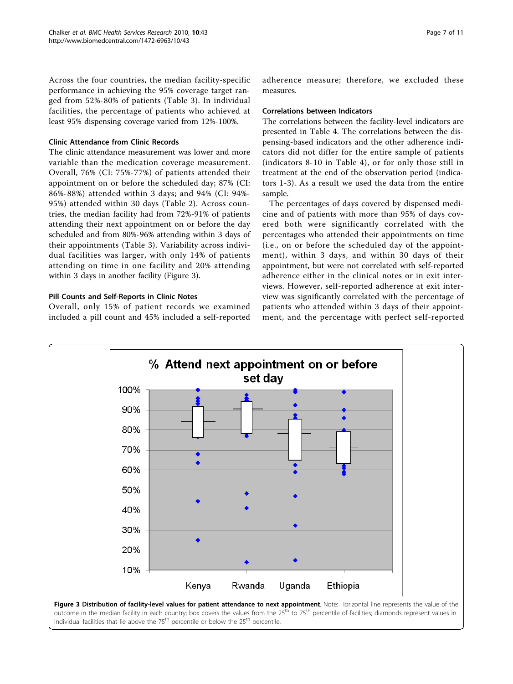Across the four countries, the median facility-specific performance in achieving the 95% coverage target ranged from 52%-80% of patients (Table [3](#page-5-0)). In individual facilities, the percentage of patients who achieved at least 95% dispensing coverage varied from 12%-100%.

## Clinic Attendance from Clinic Records

The clinic attendance measurement was lower and more variable than the medication coverage measurement. Overall, 76% (CI: 75%-77%) of patients attended their appointment on or before the scheduled day; 87% (CI: 86%-88%) attended within 3 days; and 94% (CI: 94%- 95%) attended within 30 days (Table [2](#page-4-0)). Across countries, the median facility had from 72%-91% of patients attending their next appointment on or before the day scheduled and from 80%-96% attending within 3 days of their appointments (Table [3](#page-5-0)). Variability across individual facilities was larger, with only 14% of patients attending on time in one facility and 20% attending within 3 days in another facility (Figure 3).

## Pill Counts and Self-Reports in Clinic Notes

Overall, only 15% of patient records we examined included a pill count and 45% included a self-reported

adherence measure; therefore, we excluded these measures.

## Correlations between Indicators

The correlations between the facility-level indicators are presented in Table [4](#page-7-0). The correlations between the dispensing-based indicators and the other adherence indicators did not differ for the entire sample of patients (indicators 8-10 in Table [4](#page-7-0)), or for only those still in treatment at the end of the observation period (indicators 1-3). As a result we used the data from the entire sample.

The percentages of days covered by dispensed medicine and of patients with more than 95% of days covered both were significantly correlated with the percentages who attended their appointments on time (i.e., on or before the scheduled day of the appointment), within 3 days, and within 30 days of their appointment, but were not correlated with self-reported adherence either in the clinical notes or in exit interviews. However, self-reported adherence at exit interview was significantly correlated with the percentage of patients who attended within 3 days of their appointment, and the percentage with perfect self-reported

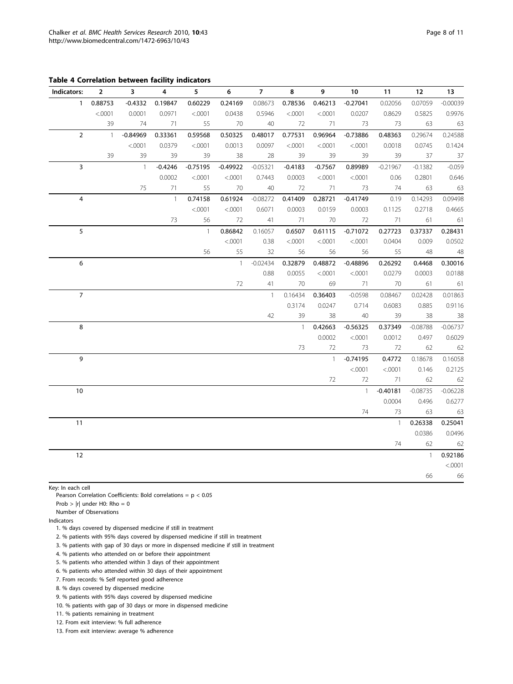<span id="page-7-0"></span>

|  | <b>Table 4 Correlation between facility indicators</b> |  |  |  |
|--|--------------------------------------------------------|--|--|--|
|--|--------------------------------------------------------|--|--|--|

| Indicators:    | $\overline{2}$ | 3            | 4            | 5            | 6              | $\boldsymbol{7}$ | 8            | 9            | $10\,$     | 11             | 12           | 13         |
|----------------|----------------|--------------|--------------|--------------|----------------|------------------|--------------|--------------|------------|----------------|--------------|------------|
| $\mathbf{1}$   | 0.88753        | $-0.4332$    | 0.19847      | 0.60229      | 0.24169        | 0.08673          | 0.78536      | 0.46213      | $-0.27041$ | 0.02056        | 0.07059      | $-0.00039$ |
|                | < .0001        | 0.0001       | 0.0971       | < .0001      | 0.0438         | 0.5946           | < .0001      | < .0001      | 0.0207     | 0.8629         | 0.5825       | 0.9976     |
|                | 39             | 74           | 71           | 55           | 70             | 40               | 72           | 71           | 73         | 73             | 63           | 63         |
| $\overline{2}$ | $\mathbf{1}$   | $-0.84969$   | 0.33361      | 0.59568      | 0.50325        | 0.48017          | 0.77531      | 0.96964      | $-0.73886$ | 0.48363        | 0.29674      | 0.24588    |
|                |                | < .0001      | 0.0379       | < .0001      | 0.0013         | 0.0097           | < .0001      | < .0001      | < .0001    | 0.0018         | 0.0745       | 0.1424     |
|                | 39             | 39           | 39           | 39           | 38             | 28               | 39           | 39           | 39         | 39             | 37           | 37         |
| 3              |                | $\mathbf{1}$ | $-0.4246$    | $-0.75195$   | $-0.49922$     | $-0.05321$       | $-0.4183$    | $-0.7567$    | 0.89989    | $-0.21967$     | $-0.1382$    | $-0.059$   |
|                |                |              | 0.0002       | < .0001      | < .0001        | 0.7443           | 0.0003       | < .0001      | < .0001    | 0.06           | 0.2801       | 0.646      |
|                |                | 75           | 71           | 55           | 70             | 40               | 72           | 71           | 73         | 74             | 63           | 63         |
| 4              |                |              | $\mathbf{1}$ | 0.74158      | 0.61924        | $-0.08272$       | 0.41409      | 0.28721      | $-0.41749$ | 0.19           | 0.14293      | 0.09498    |
|                |                |              |              | < .0001      | < .0001        | 0.6071           | 0.0003       | 0.0159       | 0.0003     | 0.1125         | 0.2718       | 0.4665     |
|                |                |              | 73           | 56           | 72             | 41               | 71           | 70           | 72         | 71             | 61           | 61         |
| 5              |                |              |              | $\mathbf{1}$ | 0.86842        | 0.16057          | 0.6507       | 0.61115      | $-0.71072$ | 0.27723        | 0.37337      | 0.28431    |
|                |                |              |              |              | < .0001        | 0.38             | < .0001      | < .0001      | < .0001    | 0.0404         | 0.009        | 0.0502     |
|                |                |              |              | 56           | 55             | 32               | 56           | 56           | 56         | 55             | 48           | 48         |
| 6              |                |              |              |              | $\overline{1}$ | $-0.02434$       | 0.32879      | 0.48872      | $-0.48896$ | 0.26292        | 0.4468       | 0.30016    |
|                |                |              |              |              |                | 0.88             | 0.0055       | < .0001      | < .0001    | 0.0279         | 0.0003       | 0.0188     |
|                |                |              |              |              | 72             | 41               | 70           | 69           | 71         | 70             | 61           | 61         |
| $\overline{7}$ |                |              |              |              |                | $\mathbf{1}$     | 0.16434      | 0.36403      | $-0.0598$  | 0.08467        | 0.02428      | 0.01863    |
|                |                |              |              |              |                |                  | 0.3174       | 0.0247       | 0.714      | 0.6083         | 0.885        | 0.9116     |
|                |                |              |              |              |                | 42               | 39           | 38           | 40         | 39             | 38           | 38         |
| 8              |                |              |              |              |                |                  | $\mathbf{1}$ | 0.42663      | $-0.56325$ | 0.37349        | $-0.08788$   | $-0.06737$ |
|                |                |              |              |              |                |                  |              | 0.0002       | < .0001    | 0.0012         | 0.497        | 0.6029     |
|                |                |              |              |              |                |                  | 73           | 72           | 73         | 72             | 62           | 62         |
| 9              |                |              |              |              |                |                  |              | $\mathbf{1}$ | $-0.74195$ | 0.4772         | 0.18678      | 0.16058    |
|                |                |              |              |              |                |                  |              |              | < .0001    | < .0001        | 0.146        | 0.2125     |
|                |                |              |              |              |                |                  |              | 72           | 72         | 71             | 62           | 62         |
| $10$           |                |              |              |              |                |                  |              |              | 1          | $-0.40181$     | $-0.08735$   | $-0.06228$ |
|                |                |              |              |              |                |                  |              |              |            | 0.0004         | 0.496        | 0.6277     |
|                |                |              |              |              |                |                  |              |              | 74         | 73             | 63           | 63         |
| 11             |                |              |              |              |                |                  |              |              |            | $\overline{1}$ | 0.26338      | 0.25041    |
|                |                |              |              |              |                |                  |              |              |            |                | 0.0386       | 0.0496     |
|                |                |              |              |              |                |                  |              |              |            | 74             | 62           | 62         |
| 12             |                |              |              |              |                |                  |              |              |            |                | $\mathbf{1}$ | 0.92186    |
|                |                |              |              |              |                |                  |              |              |            |                |              | < .0001    |
|                |                |              |              |              |                |                  |              |              |            |                | 66           | 66         |

Key: In each cell

Pearson Correlation Coefficients: Bold correlations =  $p < 0.05$ 

Prob  $> |r|$  under H0: Rho = 0

Number of Observations

Indicators

1. % days covered by dispensed medicine if still in treatment

2. % patients with 95% days covered by dispensed medicine if still in treatment

3. % patients with gap of 30 days or more in dispensed medicine if still in treatment

4. % patients who attended on or before their appointment

5. % patients who attended within 3 days of their appointment

6. % patients who attended within 30 days of their appointment

7. From records: % Self reported good adherence

8. % days covered by dispensed medicine

9. % patients with 95% days covered by dispensed medicine

10. % patients with gap of 30 days or more in dispensed medicine

11. % patients remaining in treatment

12. From exit interview: % full adherence

13. From exit interview: average % adherence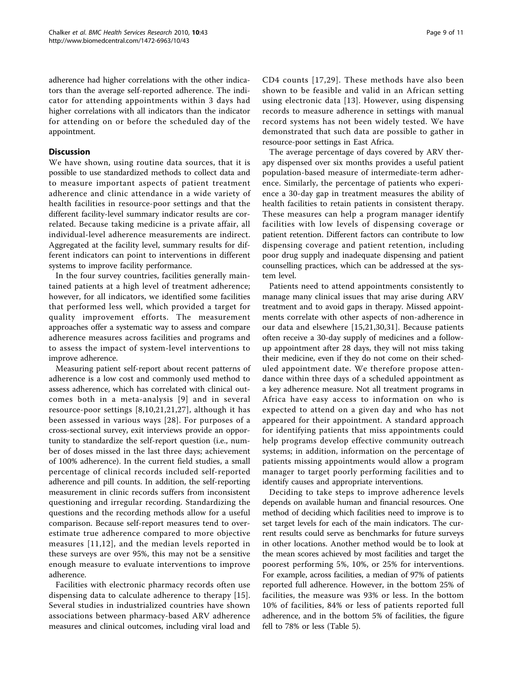adherence had higher correlations with the other indicators than the average self-reported adherence. The indicator for attending appointments within 3 days had higher correlations with all indicators than the indicator for attending on or before the scheduled day of the appointment.

## **Discussion**

We have shown, using routine data sources, that it is possible to use standardized methods to collect data and to measure important aspects of patient treatment adherence and clinic attendance in a wide variety of health facilities in resource-poor settings and that the different facility-level summary indicator results are correlated. Because taking medicine is a private affair, all individual-level adherence measurements are indirect. Aggregated at the facility level, summary results for different indicators can point to interventions in different systems to improve facility performance.

In the four survey countries, facilities generally maintained patients at a high level of treatment adherence; however, for all indicators, we identified some facilities that performed less well, which provided a target for quality improvement efforts. The measurement approaches offer a systematic way to assess and compare adherence measures across facilities and programs and to assess the impact of system-level interventions to improve adherence.

Measuring patient self-report about recent patterns of adherence is a low cost and commonly used method to assess adherence, which has correlated with clinical outcomes both in a meta-analysis [[9](#page-10-0)] and in several resource-poor settings [\[8,10](#page-10-0),[21,21,27](#page-10-0)], although it has been assessed in various ways [[28](#page-10-0)]. For purposes of a cross-sectional survey, exit interviews provide an opportunity to standardize the self-report question (i.e., number of doses missed in the last three days; achievement of 100% adherence). In the current field studies, a small percentage of clinical records included self-reported adherence and pill counts. In addition, the self-reporting measurement in clinic records suffers from inconsistent questioning and irregular recording. Standardizing the questions and the recording methods allow for a useful comparison. Because self-report measures tend to overestimate true adherence compared to more objective measures [[11,12\]](#page-10-0), and the median levels reported in these surveys are over 95%, this may not be a sensitive enough measure to evaluate interventions to improve adherence.

Facilities with electronic pharmacy records often use dispensing data to calculate adherence to therapy [[15](#page-10-0)]. Several studies in industrialized countries have shown associations between pharmacy-based ARV adherence measures and clinical outcomes, including viral load and CD4 counts [[17](#page-10-0),[29\]](#page-10-0). These methods have also been shown to be feasible and valid in an African setting

using electronic data [[13](#page-10-0)]. However, using dispensing records to measure adherence in settings with manual record systems has not been widely tested. We have demonstrated that such data are possible to gather in resource-poor settings in East Africa.

The average percentage of days covered by ARV therapy dispensed over six months provides a useful patient population-based measure of intermediate-term adherence. Similarly, the percentage of patients who experience a 30-day gap in treatment measures the ability of health facilities to retain patients in consistent therapy. These measures can help a program manager identify facilities with low levels of dispensing coverage or patient retention. Different factors can contribute to low dispensing coverage and patient retention, including poor drug supply and inadequate dispensing and patient counselling practices, which can be addressed at the system level.

Patients need to attend appointments consistently to manage many clinical issues that may arise during ARV treatment and to avoid gaps in therapy. Missed appointments correlate with other aspects of non-adherence in our data and elsewhere [\[15](#page-10-0),[21,30](#page-10-0),[31\]](#page-10-0). Because patients often receive a 30-day supply of medicines and a followup appointment after 28 days, they will not miss taking their medicine, even if they do not come on their scheduled appointment date. We therefore propose attendance within three days of a scheduled appointment as a key adherence measure. Not all treatment programs in Africa have easy access to information on who is expected to attend on a given day and who has not appeared for their appointment. A standard approach for identifying patients that miss appointments could help programs develop effective community outreach systems; in addition, information on the percentage of patients missing appointments would allow a program manager to target poorly performing facilities and to identify causes and appropriate interventions.

Deciding to take steps to improve adherence levels depends on available human and financial resources. One method of deciding which facilities need to improve is to set target levels for each of the main indicators. The current results could serve as benchmarks for future surveys in other locations. Another method would be to look at the mean scores achieved by most facilities and target the poorest performing 5%, 10%, or 25% for interventions. For example, across facilities, a median of 97% of patients reported full adherence. However, in the bottom 25% of facilities, the measure was 93% or less. In the bottom 10% of facilities, 84% or less of patients reported full adherence, and in the bottom 5% of facilities, the figure fell to 78% or less (Table [5](#page-9-0)).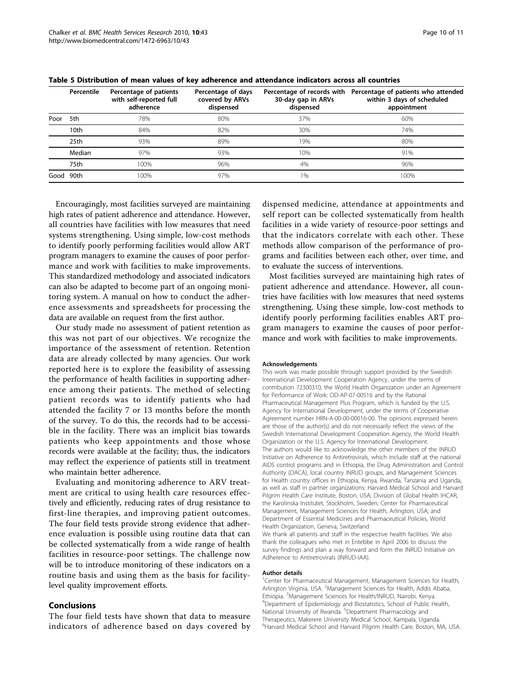|           | Percentile | Percentage of patients<br>with self-reported full<br>adherence | Percentage of days<br>covered by ARVs<br>dispensed | 30-day gap in ARVs<br>dispensed | Percentage of records with Percentage of patients who attended<br>within 3 days of scheduled<br>appointment |
|-----------|------------|----------------------------------------------------------------|----------------------------------------------------|---------------------------------|-------------------------------------------------------------------------------------------------------------|
| Poor      | 5th        | 78%                                                            | 80%                                                | 37%                             | 60%                                                                                                         |
|           | 10th       | 84%                                                            | 82%                                                | 30%                             | 74%                                                                                                         |
|           | 25th       | 93%                                                            | 89%                                                | 19%                             | 80%                                                                                                         |
|           | Median     | 97%                                                            | 93%                                                | 10%                             | 91%                                                                                                         |
|           | 75th       | 100%                                                           | 96%                                                | 4%                              | 96%                                                                                                         |
| Good 90th |            | 100%                                                           | 97%                                                | 1%                              | 100%                                                                                                        |

<span id="page-9-0"></span>Table 5 Distribution of mean values of key adherence and attendance indicators across all countries

Encouragingly, most facilities surveyed are maintaining high rates of patient adherence and attendance. However, all countries have facilities with low measures that need systems strengthening. Using simple, low-cost methods to identify poorly performing facilities would allow ART program managers to examine the causes of poor performance and work with facilities to make improvements. This standardized methodology and associated indicators can also be adapted to become part of an ongoing monitoring system. A manual on how to conduct the adherence assessments and spreadsheets for processing the data are available on request from the first author.

Our study made no assessment of patient retention as this was not part of our objectives. We recognize the importance of the assessment of retention. Retention data are already collected by many agencies. Our work reported here is to explore the feasibility of assessing the performance of health facilities in supporting adherence among their patients. The method of selecting patient records was to identify patients who had attended the facility 7 or 13 months before the month of the survey. To do this, the records had to be accessible in the facility. There was an implicit bias towards patients who keep appointments and those whose records were available at the facility; thus, the indicators may reflect the experience of patients still in treatment who maintain better adherence.

Evaluating and monitoring adherence to ARV treatment are critical to using health care resources effectively and efficiently, reducing rates of drug resistance to first-line therapies, and improving patient outcomes. The four field tests provide strong evidence that adherence evaluation is possible using routine data that can be collected systematically from a wide range of health facilities in resource-poor settings. The challenge now will be to introduce monitoring of these indicators on a routine basis and using them as the basis for facilitylevel quality improvement efforts.

## Conclusions

The four field tests have shown that data to measure indicators of adherence based on days covered by

dispensed medicine, attendance at appointments and self report can be collected systematically from health facilities in a wide variety of resource-poor settings and that the indicators correlate with each other. These methods allow comparison of the performance of programs and facilities between each other, over time, and to evaluate the success of interventions.

Most facilities surveyed are maintaining high rates of patient adherence and attendance. However, all countries have facilities with low measures that need systems strengthening. Using these simple, low-cost methods to identify poorly performing facilities enables ART program managers to examine the causes of poor performance and work with facilities to make improvements.

#### Acknowledgements

This work was made possible through support provided by the Swedish International Development Cooperation Agency, under the terms of contribution 72300310, the World Health Organization under an Agreement for Performance of Work: OD-AP-07-00516 and by the Rational Pharmaceutical Management Plus Program, which is funded by the U.S. Agency for International Development, under the terms of Cooperative Agreement number HRN-A-00-00-00016-00. The opinions expressed herein are those of the author(s) and do not necessarily reflect the views of the Swedish International Development Cooperation Agency, the World Health Organization or the U.S. Agency for International Development. The authors would like to acknowledge the other members of the INRUD Initiative on Adherence to Antiretrovirals, which include staff at the national AIDS control programs and in Ethiopia, the Drug Administration and Control Authority (DACA), local country INRUD groups, and Management Sciences for Health country offices in Ethiopia, Kenya, Rwanda, Tanzania and Uganda, as well as staff in partner organizations: Harvard Medical School and Harvard Pilgrim Health Care Institute, Boston, USA; Division of Global Health IHCAR, the Karolinska Institutet, Stockholm, Sweden; Center for Pharmaceutical Management, Management Sciences for Health, Arlington, USA; and Department of Essential Medicines and Pharmaceutical Policies, World Health Organization, Geneva, Switzerland

We thank all patients and staff in the respective health facilities. We also thank the colleagues who met in Entebbe in April 2006 to discuss the survey findings and plan a way forward and form the INRUD Initiative on Adherence to Antiretrovirals (INRUD-IAA).

#### Author details

<sup>1</sup> Center for Pharmaceutical Management, Management Sciences for Health Arlington Virginia, USA. <sup>2</sup>Management Sciences for Health, Addis Ababa, Ethiopia. <sup>3</sup>Management Sciences for Health/INRUD, Nairobi, Kenya.<br><sup>4</sup>Department of Enidemialogy and Riostatistics, School of Bublic H <sup>4</sup>Department of Epidemiology and Biostatistics, School of Public Health, National University of Rwanda. <sup>5</sup>Department Pharmacology and Therapeutics, Makerere University Medical School, Kampala, Uganda. 6 Harvard Medical School and Harvard Pilgrim Health Care, Boston, MA, USA.